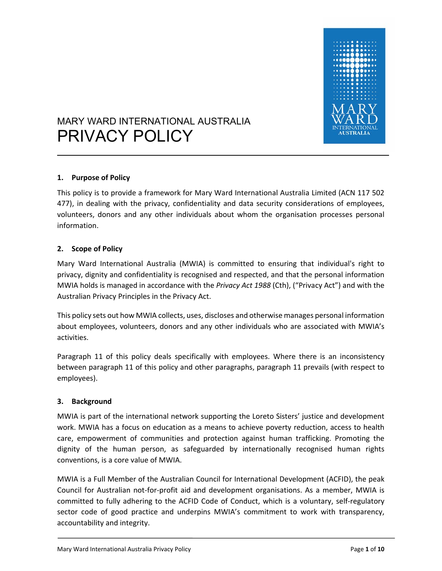

# MARY WARD INTERNATIONAL AUSTRALIA PRIVACY POLICY

## **1. Purpose of Policy**

This policy is to provide a framework for Mary Ward International Australia Limited (ACN 117 502 477), in dealing with the privacy, confidentiality and data security considerations of employees, volunteers, donors and any other individuals about whom the organisation processes personal information.

## **2. Scope of Policy**

Mary Ward International Australia (MWIA) is committed to ensuring that individual's right to privacy, dignity and confidentiality is recognised and respected, and that the personal information MWIA holds is managed in accordance with the *Privacy Act 1988* (Cth), ("Privacy Act") and with the Australian Privacy Principles in the Privacy Act.

This policy sets out how MWIA collects, uses, discloses and otherwise manages personal information about employees, volunteers, donors and any other individuals who are associated with MWIA's activities.

Paragraph 11 of this policy deals specifically with employees. Where there is an inconsistency between paragraph 11 of this policy and other paragraphs, paragraph 11 prevails (with respect to employees).

## **3. Background**

MWIA is part of the international network supporting the Loreto Sisters' justice and development work. MWIA has a focus on education as a means to achieve poverty reduction, access to health care, empowerment of communities and protection against human trafficking. Promoting the dignity of the human person, as safeguarded by internationally recognised human rights conventions, is a core value of MWIA.

MWIA is a Full Member of the Australian Council for International Development (ACFID), the peak Council for Australian not‐for‐profit aid and development organisations. As a member, MWIA is committed to fully adhering to the ACFID Code of Conduct, which is a voluntary, self-regulatory sector code of good practice and underpins MWIA's commitment to work with transparency, accountability and integrity.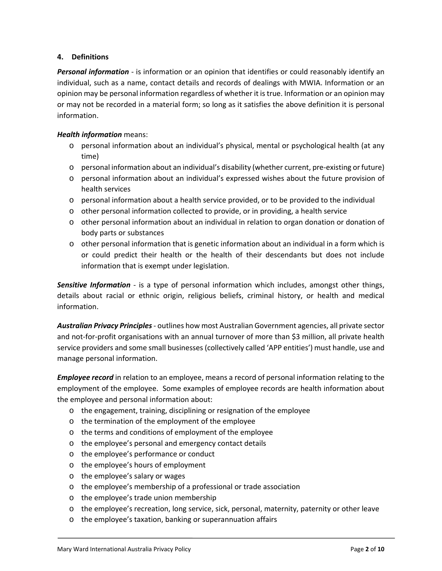## **4. Definitions**

**Personal information** - is information or an opinion that identifies or could reasonably identify an individual, such as a name, contact details and records of dealings with MWIA. Information or an opinion may be personal information regardless of whether it is true. Information or an opinion may or may not be recorded in a material form; so long as it satisfies the above definition it is personal information.

## *Health information* means:

- o personal information about an individual's physical, mental or psychological health (at any time)
- o personal information about an individual's disability (whether current, pre‐existing or future)
- o personal information about an individual's expressed wishes about the future provision of health services
- o personal information about a health service provided, or to be provided to the individual
- $\circ$  other personal information collected to provide, or in providing, a health service
- $\circ$  other personal information about an individual in relation to organ donation or donation of body parts or substances
- o other personal information that is genetic information about an individual in a form which is or could predict their health or the health of their descendants but does not include information that is exempt under legislation.

**Sensitive Information** - is a type of personal information which includes, amongst other things, details about racial or ethnic origin, religious beliefs, criminal history, or health and medical information.

*Australian Privacy Principles ‐* outlines how most Australian Government agencies, all private sector and not-for-profit organisations with an annual turnover of more than \$3 million, all private health service providers and some small businesses (collectively called 'APP entities') must handle, use and manage personal information.

*Employee record* in relation to an employee, means a record of personal information relating to the employment of the employee. Some examples of employee records are health information about the employee and personal information about:

- o the engagement, training, disciplining or resignation of the employee
- o the termination of the employment of the employee
- o the terms and conditions of employment of the employee
- o the employee's personal and emergency contact details
- o the employee's performance or conduct
- o the employee's hours of employment
- o the employee's salary or wages
- o the employee's membership of a professional or trade association
- o the employee's trade union membership
- o the employee's recreation, long service, sick, personal, maternity, paternity or other leave
- o the employee's taxation, banking or superannuation affairs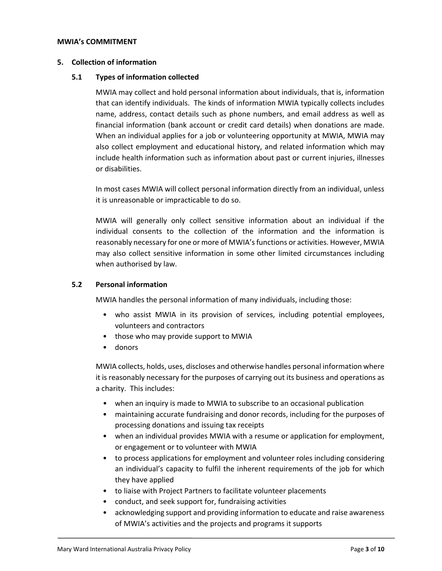#### **MWIA's COMMITMENT**

#### **5. Collection of information**

#### **5.1 Types of information collected**

MWIA may collect and hold personal information about individuals, that is, information that can identify individuals. The kinds of information MWIA typically collects includes name, address, contact details such as phone numbers, and email address as well as financial information (bank account or credit card details) when donations are made. When an individual applies for a job or volunteering opportunity at MWIA, MWIA may also collect employment and educational history, and related information which may include health information such as information about past or current injuries, illnesses or disabilities.

In most cases MWIA will collect personal information directly from an individual, unless it is unreasonable or impracticable to do so.

MWIA will generally only collect sensitive information about an individual if the individual consents to the collection of the information and the information is reasonably necessary for one or more of MWIA's functions or activities. However, MWIA may also collect sensitive information in some other limited circumstances including when authorised by law.

#### **5.2 Personal information**

MWIA handles the personal information of many individuals, including those:

- who assist MWIA in its provision of services, including potential employees, volunteers and contractors
- those who may provide support to MWIA
- donors

MWIA collects, holds, uses, discloses and otherwise handles personal information where it is reasonably necessary for the purposes of carrying out its business and operations as a charity. This includes:

- when an inquiry is made to MWIA to subscribe to an occasional publication
- maintaining accurate fundraising and donor records, including for the purposes of processing donations and issuing tax receipts
- when an individual provides MWIA with a resume or application for employment, or engagement or to volunteer with MWIA
- to process applications for employment and volunteer roles including considering an individual's capacity to fulfil the inherent requirements of the job for which they have applied
- to liaise with Project Partners to facilitate volunteer placements
- conduct, and seek support for, fundraising activities
- acknowledging support and providing information to educate and raise awareness of MWIA's activities and the projects and programs it supports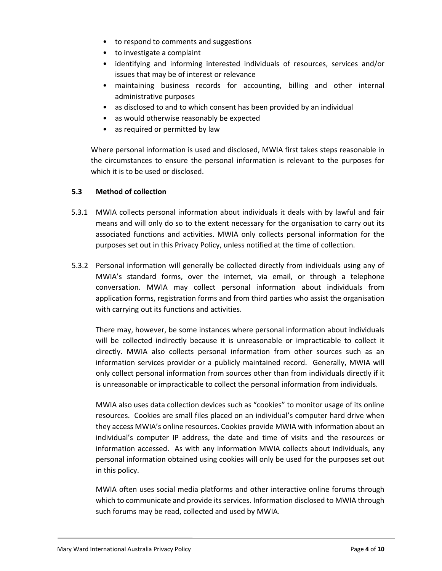- to respond to comments and suggestions
- to investigate a complaint
- identifying and informing interested individuals of resources, services and/or issues that may be of interest or relevance
- maintaining business records for accounting, billing and other internal administrative purposes
- as disclosed to and to which consent has been provided by an individual
- as would otherwise reasonably be expected
- as required or permitted by law

Where personal information is used and disclosed, MWIA first takes steps reasonable in the circumstances to ensure the personal information is relevant to the purposes for which it is to be used or disclosed.

## **5.3 Method of collection**

- 5.3.1 MWIA collects personal information about individuals it deals with by lawful and fair means and will only do so to the extent necessary for the organisation to carry out its associated functions and activities. MWIA only collects personal information for the purposes set out in this Privacy Policy, unless notified at the time of collection.
- 5.3.2 Personal information will generally be collected directly from individuals using any of MWIA's standard forms, over the internet, via email, or through a telephone conversation. MWIA may collect personal information about individuals from application forms, registration forms and from third parties who assist the organisation with carrying out its functions and activities.

There may, however, be some instances where personal information about individuals will be collected indirectly because it is unreasonable or impracticable to collect it directly. MWIA also collects personal information from other sources such as an information services provider or a publicly maintained record. Generally, MWIA will only collect personal information from sources other than from individuals directly if it is unreasonable or impracticable to collect the personal information from individuals.

MWIA also uses data collection devices such as "cookies" to monitor usage of its online resources. Cookies are small files placed on an individual's computer hard drive when they access MWIA's online resources. Cookies provide MWIA with information about an individual's computer IP address, the date and time of visits and the resources or information accessed. As with any information MWIA collects about individuals, any personal information obtained using cookies will only be used for the purposes set out in this policy.

MWIA often uses social media platforms and other interactive online forums through which to communicate and provide its services. Information disclosed to MWIA through such forums may be read, collected and used by MWIA.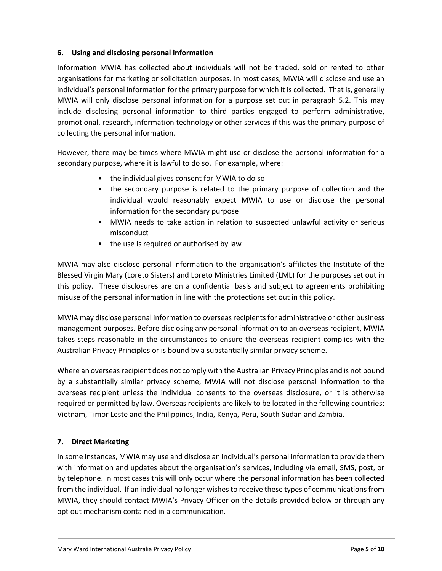## **6. Using and disclosing personal information**

Information MWIA has collected about individuals will not be traded, sold or rented to other organisations for marketing or solicitation purposes. In most cases, MWIA will disclose and use an individual's personal information for the primary purpose for which it is collected. That is, generally MWIA will only disclose personal information for a purpose set out in paragraph 5.2. This may include disclosing personal information to third parties engaged to perform administrative, promotional, research, information technology or other services if this was the primary purpose of collecting the personal information.

However, there may be times where MWIA might use or disclose the personal information for a secondary purpose, where it is lawful to do so. For example, where:

- the individual gives consent for MWIA to do so
- the secondary purpose is related to the primary purpose of collection and the individual would reasonably expect MWIA to use or disclose the personal information for the secondary purpose
- MWIA needs to take action in relation to suspected unlawful activity or serious misconduct
- the use is required or authorised by law

MWIA may also disclose personal information to the organisation's affiliates the Institute of the Blessed Virgin Mary (Loreto Sisters) and Loreto Ministries Limited (LML) for the purposes set out in this policy. These disclosures are on a confidential basis and subject to agreements prohibiting misuse of the personal information in line with the protections set out in this policy.

MWIA may disclose personal information to overseas recipients for administrative or other business management purposes. Before disclosing any personal information to an overseas recipient, MWIA takes steps reasonable in the circumstances to ensure the overseas recipient complies with the Australian Privacy Principles or is bound by a substantially similar privacy scheme.

Where an overseas recipient does not comply with the Australian Privacy Principles and is not bound by a substantially similar privacy scheme, MWIA will not disclose personal information to the overseas recipient unless the individual consents to the overseas disclosure, or it is otherwise required or permitted by law. Overseas recipients are likely to be located in the following countries: Vietnam, Timor Leste and the Philippines, India, Kenya, Peru, South Sudan and Zambia.

## **7. Direct Marketing**

In some instances, MWIA may use and disclose an individual's personal information to provide them with information and updates about the organisation's services, including via email, SMS, post, or by telephone. In most cases this will only occur where the personal information has been collected from the individual. If an individual no longer wishes to receive these types of communications from MWIA, they should contact MWIA's Privacy Officer on the details provided below or through any opt out mechanism contained in a communication.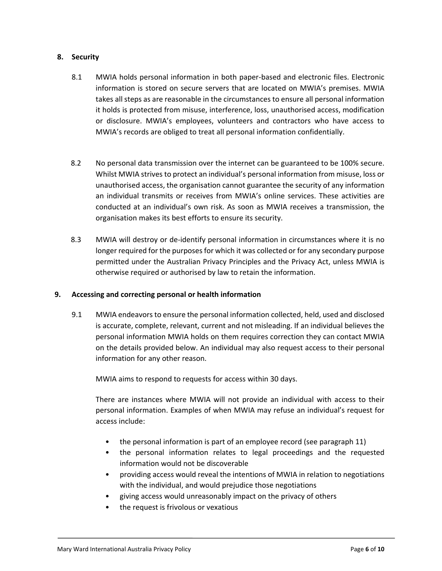## **8. Security**

- 8.1 MWIA holds personal information in both paper-based and electronic files. Electronic information is stored on secure servers that are located on MWIA's premises. MWIA takes all steps as are reasonable in the circumstances to ensure all personal information it holds is protected from misuse, interference, loss, unauthorised access, modification or disclosure. MWIA's employees, volunteers and contractors who have access to MWIA's records are obliged to treat all personal information confidentially.
- 8.2 No personal data transmission over the internet can be guaranteed to be 100% secure. Whilst MWIA strives to protect an individual's personal information from misuse, loss or unauthorised access, the organisation cannot guarantee the security of any information an individual transmits or receives from MWIA's online services. These activities are conducted at an individual's own risk. As soon as MWIA receives a transmission, the organisation makes its best efforts to ensure its security.
- 8.3 MWIA will destroy or de-identify personal information in circumstances where it is no longer required for the purposes for which it was collected or for any secondary purpose permitted under the Australian Privacy Principles and the Privacy Act, unless MWIA is otherwise required or authorised by law to retain the information.

## **9. Accessing and correcting personal or health information**

9.1 MWIA endeavors to ensure the personal information collected, held, used and disclosed is accurate, complete, relevant, current and not misleading. If an individual believes the personal information MWIA holds on them requires correction they can contact MWIA on the details provided below. An individual may also request access to their personal information for any other reason.

MWIA aims to respond to requests for access within 30 days.

There are instances where MWIA will not provide an individual with access to their personal information. Examples of when MWIA may refuse an individual's request for access include:

- the personal information is part of an employee record (see paragraph 11)
- the personal information relates to legal proceedings and the requested information would not be discoverable
- providing access would reveal the intentions of MWIA in relation to negotiations with the individual, and would prejudice those negotiations
- giving access would unreasonably impact on the privacy of others
- the request is frivolous or vexatious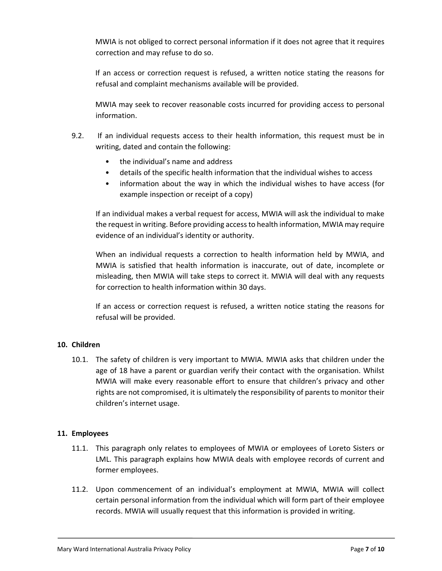MWIA is not obliged to correct personal information if it does not agree that it requires correction and may refuse to do so.

If an access or correction request is refused, a written notice stating the reasons for refusal and complaint mechanisms available will be provided.

MWIA may seek to recover reasonable costs incurred for providing access to personal information.

- 9.2. If an individual requests access to their health information, this request must be in writing, dated and contain the following:
	- the individual's name and address
	- details of the specific health information that the individual wishes to access
	- information about the way in which the individual wishes to have access (for example inspection or receipt of a copy)

If an individual makes a verbal request for access, MWIA will ask the individual to make the request in writing. Before providing access to health information, MWIA may require evidence of an individual's identity or authority.

When an individual requests a correction to health information held by MWIA, and MWIA is satisfied that health information is inaccurate, out of date, incomplete or misleading, then MWIA will take steps to correct it. MWIA will deal with any requests for correction to health information within 30 days.

If an access or correction request is refused, a written notice stating the reasons for refusal will be provided.

## **10. Children**

10.1. The safety of children is very important to MWIA. MWIA asks that children under the age of 18 have a parent or guardian verify their contact with the organisation. Whilst MWIA will make every reasonable effort to ensure that children's privacy and other rights are not compromised, it is ultimately the responsibility of parents to monitor their children's internet usage.

## **11. Employees**

- 11.1. This paragraph only relates to employees of MWIA or employees of Loreto Sisters or LML. This paragraph explains how MWIA deals with employee records of current and former employees.
- 11.2. Upon commencement of an individual's employment at MWIA, MWIA will collect certain personal information from the individual which will form part of their employee records. MWIA will usually request that this information is provided in writing.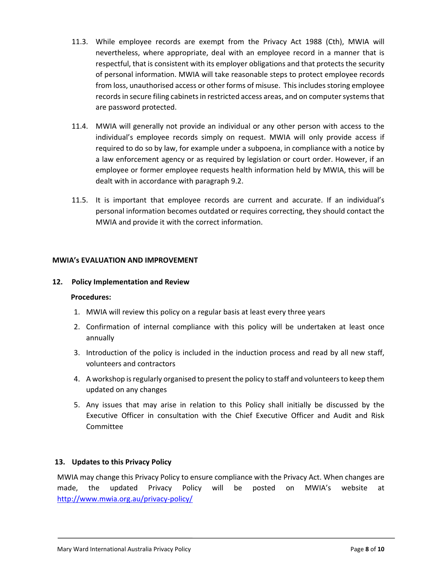- 11.3. While employee records are exempt from the Privacy Act 1988 (Cth), MWIA will nevertheless, where appropriate, deal with an employee record in a manner that is respectful, that is consistent with its employer obligations and that protects the security of personal information. MWIA will take reasonable steps to protect employee records from loss, unauthorised access or other forms of misuse. This includes storing employee records in secure filing cabinets in restricted access areas, and on computer systems that are password protected.
- 11.4. MWIA will generally not provide an individual or any other person with access to the individual's employee records simply on request. MWIA will only provide access if required to do so by law, for example under a subpoena, in compliance with a notice by a law enforcement agency or as required by legislation or court order. However, if an employee or former employee requests health information held by MWIA, this will be dealt with in accordance with paragraph 9.2.
- 11.5. It is important that employee records are current and accurate. If an individual's personal information becomes outdated or requires correcting, they should contact the MWIA and provide it with the correct information.

## **MWIA's EVALUATION AND IMPROVEMENT**

## **12. Policy Implementation and Review**

#### **Procedures:**

- 1. MWIA will review this policy on a regular basis at least every three years
- 2. Confirmation of internal compliance with this policy will be undertaken at least once annually
- 3. Introduction of the policy is included in the induction process and read by all new staff, volunteers and contractors
- 4. A workshop is regularly organised to present the policy to staff and volunteers to keep them updated on any changes
- 5. Any issues that may arise in relation to this Policy shall initially be discussed by the Executive Officer in consultation with the Chief Executive Officer and Audit and Risk Committee

## **13. Updates to this Privacy Policy**

MWIA may change this Privacy Policy to ensure compliance with the Privacy Act. When changes are made, the updated Privacy Policy will be posted on MWIA's website at http://www.mwia.org.au/privacy‐policy/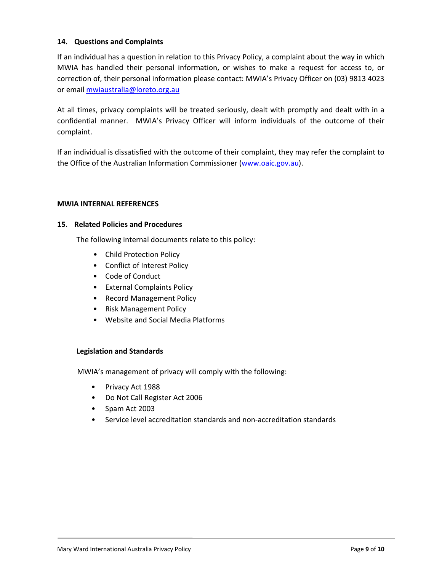## **14. Questions and Complaints**

If an individual has a question in relation to this Privacy Policy, a complaint about the way in which MWIA has handled their personal information, or wishes to make a request for access to, or correction of, their personal information please contact: MWIA's Privacy Officer on (03) 9813 4023 or email mwiaustralia@loreto.org.au

At all times, privacy complaints will be treated seriously, dealt with promptly and dealt with in a confidential manner. MWIA's Privacy Officer will inform individuals of the outcome of their complaint.

If an individual is dissatisfied with the outcome of their complaint, they may refer the complaint to the Office of the Australian Information Commissioner (www.oaic.gov.au).

## **MWIA INTERNAL REFERENCES**

#### **15. Related Policies and Procedures**

The following internal documents relate to this policy:

- Child Protection Policy
- Conflict of Interest Policy
- Code of Conduct
- External Complaints Policy
- Record Management Policy
- Risk Management Policy
- Website and Social Media Platforms

## **Legislation and Standards**

MWIA's management of privacy will comply with the following:

- Privacy Act 1988
- Do Not Call Register Act 2006
- Spam Act 2003
- Service level accreditation standards and non‐accreditation standards